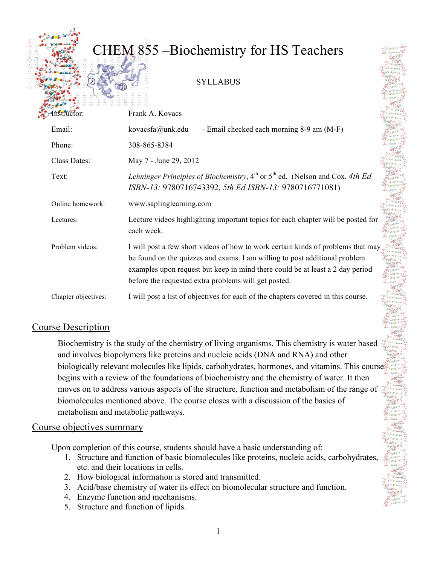# CHEM 855 –Biochemistry for HS Teachers SYLLABUS

| Histructor:         | Frank A. Kovacs                                                                                                                                                                                                                                                                                         | clares"                                 |  |
|---------------------|---------------------------------------------------------------------------------------------------------------------------------------------------------------------------------------------------------------------------------------------------------------------------------------------------------|-----------------------------------------|--|
| Email:              | kovacsfa@unk.edu<br>- Email checked each morning 8-9 am (M-F)                                                                                                                                                                                                                                           | $\sigma_{\alpha}^{\mu} \sigma_{\alpha}$ |  |
| Phone:              | 308-865-8384                                                                                                                                                                                                                                                                                            |                                         |  |
| Class Dates:        | May 7 - June 29, 2012                                                                                                                                                                                                                                                                                   | cutter.                                 |  |
| Text:               | Lehninger Principles of Biochemistry, 4 <sup>th</sup> or 5 <sup>th</sup> ed. (Nelson and Cox, 4th Ed<br>College Col<br>ISBN-13: 9780716743392, 5th Ed ISBN-13: 9780716771081)                                                                                                                           |                                         |  |
| Online homework:    | www.saplinglearning.com<br>高                                                                                                                                                                                                                                                                            |                                         |  |
| Lectures:           | Lecture videos highlighting important topics for each chapter will be posted for<br>each week.                                                                                                                                                                                                          |                                         |  |
| Problem videos:     | I will post a few short videos of how to work certain kinds of problems that may<br>be found on the quizzes and exams. I am willing to post additional problem<br>examples upon request but keep in mind there could be at least a 2 day period<br>before the requested extra problems will get posted. |                                         |  |
| Chapter objectives: | I will post a list of objectives for each of the chapters covered in this course.                                                                                                                                                                                                                       |                                         |  |

#### Course Description

Biochemistry is the study of the chemistry of living organisms. This chemistry is water based and involves biopolymers like proteins and nucleic acids (DNA and RNA) and other biologically relevant molecules like lipids, carbohydrates, hormones, and vitamins. This courses begins with a review of the foundations of biochemistry and the chemistry of water. It then moves on to address various aspects of the structure, function and metabolism of the range of biomolecules mentioned above. The course closes with a discussion of the basics of metabolism and metabolic pathways.

#### Course objectives summary

Upon completion of this course, students should have a basic understanding of:

- 1. Structure and function of basic biomolecules like proteins, nucleic acids, carbohydrates, etc. and their locations in cells.
- 2. How biological information is stored and transmitted.
- 3. Acid/base chemistry of water its effect on biomolecular structure and function.
- 4. Enzyme function and mechanisms.
- 5. Structure and function of lipids.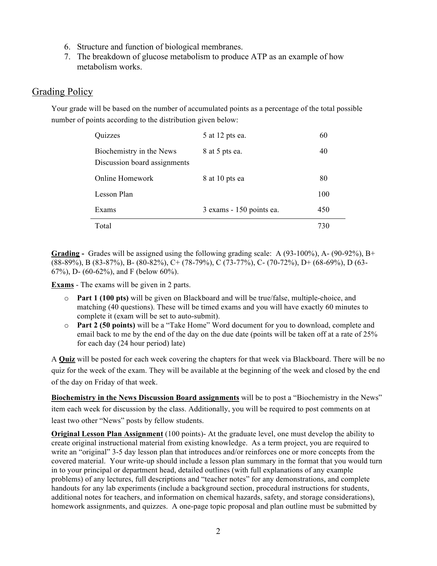- 6. Structure and function of biological membranes.
- 7. The breakdown of glucose metabolism to produce ATP as an example of how metabolism works.

#### Grading Policy

Your grade will be based on the number of accumulated points as a percentage of the total possible number of points according to the distribution given below:

| Quizzes                                                  | 5 at 12 pts ea.          | 60  |
|----------------------------------------------------------|--------------------------|-----|
| Biochemistry in the News<br>Discussion board assignments | 8 at 5 pts ea.           | 40  |
| Online Homework                                          | 8 at 10 pts ea           | 80  |
| Lesson Plan                                              |                          | 100 |
| Exams                                                    | 3 exams - 150 points ea. | 450 |
| Total                                                    |                          | 730 |

**Grading -** Grades will be assigned using the following grading scale: A (93-100%), A- (90-92%), B+ (88-89%), B (83-87%), B- (80-82%), C+ (78-79%), C (73-77%), C- (70-72%), D+ (68-69%), D (63- 67%), D- (60-62%), and F (below 60%).

**Exams** - The exams will be given in 2 parts.

L.

- o **Part 1 (100 pts)** will be given on Blackboard and will be true/false, multiple-choice, and matching (40 questions). These will be timed exams and you will have exactly 60 minutes to complete it (exam will be set to auto-submit).
- o **Part 2 (50 points)** will be a "Take Home" Word document for you to download, complete and email back to me by the end of the day on the due date (points will be taken off at a rate of 25% for each day (24 hour period) late)

A **Quiz** will be posted for each week covering the chapters for that week via Blackboard. There will be no quiz for the week of the exam. They will be available at the beginning of the week and closed by the end of the day on Friday of that week.

**Biochemistry in the News Discussion Board assignments** will be to post a "Biochemistry in the News" item each week for discussion by the class. Additionally, you will be required to post comments on at least two other "News" posts by fellow students.

**Original Lesson Plan Assignment** (100 points)- At the graduate level, one must develop the ability to create original instructional material from existing knowledge. As a term project, you are required to write an "original" 3-5 day lesson plan that introduces and/or reinforces one or more concepts from the covered material. Your write-up should include a lesson plan summary in the format that you would turn in to your principal or department head, detailed outlines (with full explanations of any example problems) of any lectures, full descriptions and "teacher notes" for any demonstrations, and complete handouts for any lab experiments (include a background section, procedural instructions for students, additional notes for teachers, and information on chemical hazards, safety, and storage considerations), homework assignments, and quizzes. A one-page topic proposal and plan outline must be submitted by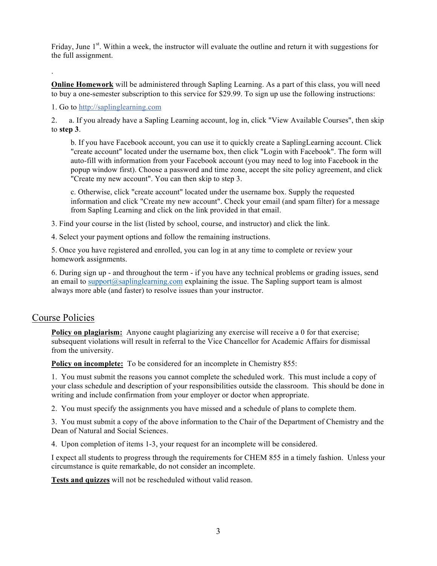Friday, June 1<sup>st</sup>. Within a week, the instructor will evaluate the outline and return it with suggestions for the full assignment.

**Online Homework** will be administered through Sapling Learning. As a part of this class, you will need to buy a one-semester subscription to this service for \$29.99. To sign up use the following instructions:

1. Go to http://saplinglearning.com

2. a. If you already have a Sapling Learning account, log in, click "View Available Courses", then skip to **step 3**.

b. If you have Facebook account, you can use it to quickly create a SaplingLearning account. Click "create account" located under the username box, then click "Login with Facebook". The form will auto-fill with information from your Facebook account (you may need to log into Facebook in the popup window first). Choose a password and time zone, accept the site policy agreement, and click "Create my new account". You can then skip to step 3.

c. Otherwise, click "create account" located under the username box. Supply the requested information and click "Create my new account". Check your email (and spam filter) for a message from Sapling Learning and click on the link provided in that email.

3. Find your course in the list (listed by school, course, and instructor) and click the link.

4. Select your payment options and follow the remaining instructions.

5. Once you have registered and enrolled, you can log in at any time to complete or review your homework assignments.

6. During sign up - and throughout the term - if you have any technical problems or grading issues, send an email to support $(\partial \text{asaplinglearning.com}$  explaining the issue. The Sapling support team is almost always more able (and faster) to resolve issues than your instructor.

#### Course Policies

.

**Policy on plagiarism:** Anyone caught plagiarizing any exercise will receive a 0 for that exercise; subsequent violations will result in referral to the Vice Chancellor for Academic Affairs for dismissal from the university.

**Policy on incomplete:** To be considered for an incomplete in Chemistry 855:

1. You must submit the reasons you cannot complete the scheduled work. This must include a copy of your class schedule and description of your responsibilities outside the classroom. This should be done in writing and include confirmation from your employer or doctor when appropriate.

2. You must specify the assignments you have missed and a schedule of plans to complete them.

3. You must submit a copy of the above information to the Chair of the Department of Chemistry and the Dean of Natural and Social Sciences.

4. Upon completion of items 1-3, your request for an incomplete will be considered.

I expect all students to progress through the requirements for CHEM 855 in a timely fashion. Unless your circumstance is quite remarkable, do not consider an incomplete.

**Tests and quizzes** will not be rescheduled without valid reason.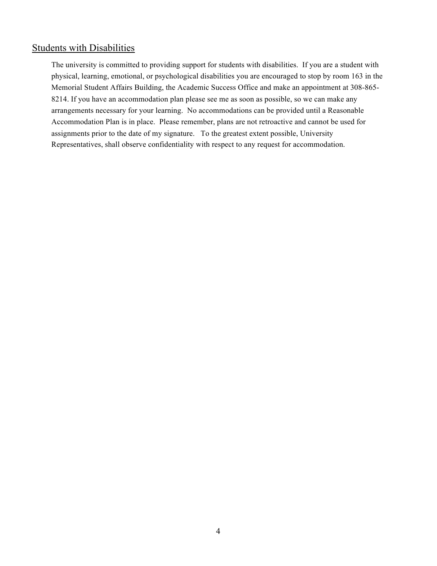#### Students with Disabilities

The university is committed to providing support for students with disabilities. If you are a student with physical, learning, emotional, or psychological disabilities you are encouraged to stop by room 163 in the Memorial Student Affairs Building, the Academic Success Office and make an appointment at 308-865- 8214. If you have an accommodation plan please see me as soon as possible, so we can make any arrangements necessary for your learning. No accommodations can be provided until a Reasonable Accommodation Plan is in place. Please remember, plans are not retroactive and cannot be used for assignments prior to the date of my signature. To the greatest extent possible, University Representatives, shall observe confidentiality with respect to any request for accommodation.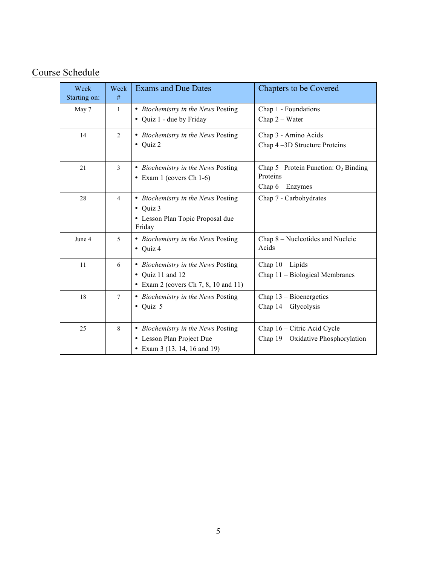# Course Schedule

| Week<br>Starting on: | Week<br>#      | <b>Exams and Due Dates</b>                                                                           | <b>Chapters to be Covered</b>                                               |
|----------------------|----------------|------------------------------------------------------------------------------------------------------|-----------------------------------------------------------------------------|
| May 7                | $\mathbf{1}$   | • Biochemistry in the News Posting<br>• Quiz 1 - due by Friday                                       | Chap 1 - Foundations<br>Chap $2$ – Water                                    |
| 14                   | 2              | • Biochemistry in the News Posting<br>$\bullet$ Quiz 2                                               | Chap 3 - Amino Acids<br>Chap 4-3D Structure Proteins                        |
| 21                   | $\mathfrak{Z}$ | • Biochemistry in the News Posting<br>$\bullet$ Exam 1 (covers Ch 1-6)                               | Chap $5$ –Protein Function: $O_2$ Binding<br>Proteins<br>Chap $6 -$ Enzymes |
| 28                   | $\overline{4}$ | • Biochemistry in the News Posting<br>$\bullet$ Quiz 3<br>• Lesson Plan Topic Proposal due<br>Friday | Chap 7 - Carbohydrates                                                      |
| June 4               | 5              | • Biochemistry in the News Posting<br>$\bullet$ Quiz 4                                               | Chap 8 – Nucleotides and Nucleic<br>Acids                                   |
| 11                   | 6              | • Biochemistry in the News Posting<br>• Quiz 11 and 12<br>• Exam 2 (covers Ch 7, 8, 10 and 11)       | Chap $10$ – Lipids<br>Chap 11 - Biological Membranes                        |
| 18                   | $\tau$         | • Biochemistry in the News Posting<br>$\bullet$ Quiz 5                                               | Chap $13 - Biomergetics$<br>Chap $14 - Glycolysis$                          |
| 25                   | 8              | • Biochemistry in the News Posting<br>• Lesson Plan Project Due<br>• Exam 3 (13, 14, 16 and 19)      | Chap 16 – Citric Acid Cycle<br>Chap 19 – Oxidative Phosphorylation          |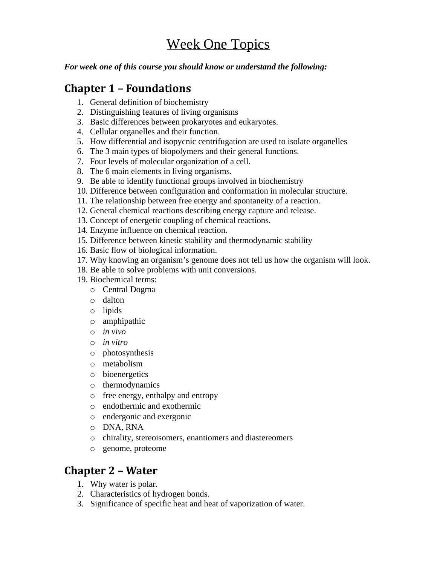# Week One Topics

*For week one of this course you should know or understand the following:*

### **Chapter 1 – Foundations**

- 1. General definition of biochemistry
- 2. Distinguishing features of living organisms
- 3. Basic differences between prokaryotes and eukaryotes.
- 4. Cellular organelles and their function.
- 5. How differential and isopycnic centrifugation are used to isolate organelles
- 6. The 3 main types of biopolymers and their general functions.
- 7. Four levels of molecular organization of a cell.
- 8. The 6 main elements in living organisms.
- 9. Be able to identify functional groups involved in biochemistry
- 10. Difference between configuration and conformation in molecular structure.
- 11. The relationship between free energy and spontaneity of a reaction.
- 12. General chemical reactions describing energy capture and release.
- 13. Concept of energetic coupling of chemical reactions.
- 14. Enzyme influence on chemical reaction.
- 15. Difference between kinetic stability and thermodynamic stability
- 16. Basic flow of biological information.
- 17. Why knowing an organism's genome does not tell us how the organism will look.
- 18. Be able to solve problems with unit conversions.
- 19. Biochemical terms:
	- o Central Dogma
	- o dalton
	- o lipids
	- o amphipathic
	- o *in vivo*
	- o *in vitro*
	- o photosynthesis
	- o metabolism
	- o bioenergetics
	- o thermodynamics
	- o free energy, enthalpy and entropy
	- o endothermic and exothermic
	- o endergonic and exergonic
	- o DNA, RNA
	- o chirality, stereoisomers, enantiomers and diastereomers
	- o genome, proteome

# **Chapter 2 – Water**

- 1. Why water is polar.
- 2. Characteristics of hydrogen bonds.
- 3. Significance of specific heat and heat of vaporization of water.